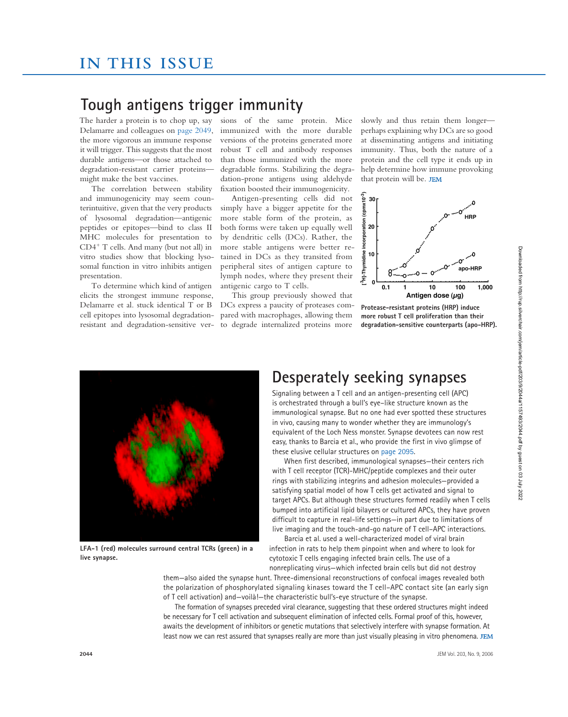### **Tough antigens trigger immunity**

The harder a protein is to chop up, say Delamarre and colleagues on page 2049, the more vigorous an immune response it will trigger. This suggests that the most durable antigens—or those attached to degradation-resistant carrier proteins might make the best vaccines.

The correlation between stability and immunogenicity may seem counterintuitive, given that the very products of lysosomal degradation—antigenic peptides or epitopes—bind to class II MHC molecules for presentation to CD4<sup>+</sup> T cells. And many (but not all) in vitro studies show that blocking lysosomal function in vitro inhibits antigen presentation.

To determine which kind of antigen elicits the strongest immune response, Delamarre et al. stuck identical T or B cell epitopes into lysosomal degradationresistant and degradation-sensitive versions of the same protein. Mice immunized with the more durable versions of the proteins generated more robust T cell and antibody responses than those immunized with the more degradable forms. Stabilizing the degradation-prone antigens using aldehyde fixation boosted their immunogenicity.

Antigen-presenting cells did not simply have a bigger appetite for the more stable form of the protein, as both forms were taken up equally well by dendritic cells (DCs). Rather, the more stable antigens were better retained in DCs as they transited from peripheral sites of antigen capture to lymph nodes, where they present their antigenic cargo to T cells.

This group previously showed that DCs express a paucity of proteases compared with macrophages, allowing them to degrade internalized proteins more

slowly and thus retain them longer perhaps explaining why DCs are so good at disseminating antigens and initiating immunity. Thus, both the nature of a protein and the cell type it ends up in help determine how immune provoking that protein will be.



**Protease-resistant proteins (HRP) induce more robust T cell proliferation than their degradation-sensitive counterparts (apo-HRP).**



**LFA-1 (red) molecules surround central TCRs (green) in a live synapse.**

#### **Desperately seeking synapses**

Signaling between a T cell and an antigen-presenting cell (APC) is orchestrated through a bull's eye–like structure known as the immunological synapse. But no one had ever spotted these structures in vivo, causing many to wonder whether they are immunology's equivalent of the Loch Ness monster. Synapse devotees can now rest easy, thanks to Barcia et al., who provide the first in vivo glimpse of these elusive cellular structures on page 2095.

When first described, immunological synapses—their centers rich with T cell receptor (TCR)-MHC/peptide complexes and their outer rings with stabilizing integrins and adhesion molecules—provided a satisfying spatial model of how T cells get activated and signal to target APCs. But although these structures formed readily when T cells bumped into artificial lipid bilayers or cultured APCs, they have proven difficult to capture in real-life settings—in part due to limitations of live imaging and the touch-and-go nature of T cell–APC interactions.

Barcia et al. used a well-characterized model of viral brain infection in rats to help them pinpoint when and where to look for cytotoxic T cells engaging infected brain cells. The use of a nonreplicating virus—which infected brain cells but did not destroy

them—also aided the synapse hunt. Three-dimensional reconstructions of confocal images revealed both the polarization of phosphorylated signaling kinases toward the T cell–APC contact site (an early sign of T cell activation) and—voilà!—the characteristic bull's-eye structure of the synapse.

The formation of synapses preceded viral clearance, suggesting that these ordered structures might indeed be necessary for T cell activation and subsequent elimination of infected cells. Formal proof of this, however, awaits the development of inhibitors or genetic mutations that selectively interfere with synapse formation. At least now we can rest assured that synapses really are more than just visually pleasing in vitro phenomena. JEM